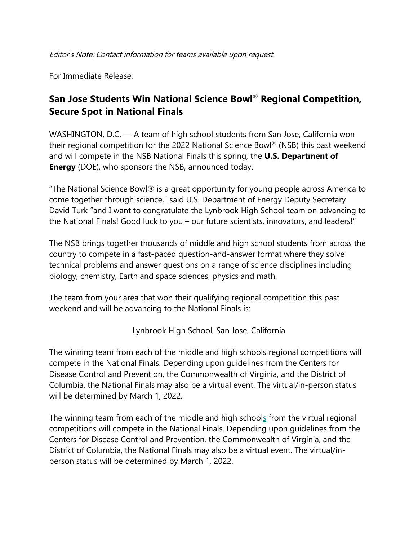For Immediate Release:

## **San Jose Students Win National Science Bowl**® **Regional Competition, Secure Spot in National Finals**

WASHINGTON, D.C. — A team of high school students from San Jose, California won their regional competition for the 2022 National Science Bowl® (NSB) this past weekend and will compete in the NSB National Finals this spring, the **U.S. Department of Energy** (DOE), who sponsors the NSB, announced today.

"The National Science Bowl® is a great opportunity for young people across America to come together through science," said U.S. Department of Energy Deputy Secretary David Turk "and I want to congratulate the Lynbrook High School team on advancing to the National Finals! Good luck to you – our future scientists, innovators, and leaders!"

The NSB brings together thousands of middle and high school students from across the country to compete in a fast-paced question-and-answer format where they solve technical problems and answer questions on a range of science disciplines including biology, chemistry, Earth and space sciences, physics and math.

The team from your area that won their qualifying regional competition this past weekend and will be advancing to the National Finals is:

Lynbrook High School, San Jose, California

The winning team from each of the middle and high schools regional competitions will compete in the National Finals. Depending upon guidelines from the Centers for Disease Control and Prevention, the Commonwealth of Virginia, and the District of Columbia, the National Finals may also be a virtual event. The virtual/in-person status will be determined by March 1, 2022.

The winning team from each of the middle and high schools from the virtual regional competitions will compete in the National Finals. Depending upon guidelines from the Centers for Disease Control and Prevention, the Commonwealth of Virginia, and the District of Columbia, the National Finals may also be a virtual event. The virtual/inperson status will be determined by March 1, 2022.